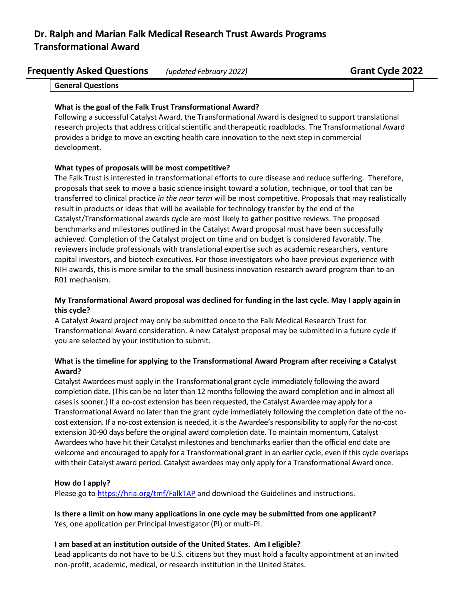# **Dr. Ralph and Marian Falk Medical Research Trust Awards Programs Transformational Award**

| <b>Frequently Asked Questions</b> | (updated February 2022) |
|-----------------------------------|-------------------------|
|-----------------------------------|-------------------------|

**General Questions**

### **What is the goal of the Falk Trust Transformational Award?**

Following a successful Catalyst Award, the Transformational Award is designed to support translational research projects that address critical scientific and therapeutic roadblocks. The Transformational Award provides a bridge to move an exciting health care innovation to the next step in commercial development.

### **What types of proposals will be most competitive?**

The Falk Trust is interested in transformational efforts to cure disease and reduce suffering. Therefore, proposals that seek to move a basic science insight toward a solution, technique, or tool that can be transferred to clinical practice *in the near term* will be most competitive. Proposals that may realistically result in products or ideas that will be available for technology transfer by the end of the Catalyst/Transformational awards cycle are most likely to gather positive reviews. The proposed benchmarks and milestones outlined in the Catalyst Award proposal must have been successfully achieved. Completion of the Catalyst project on time and on budget is considered favorably. The reviewers include professionals with translational expertise such as academic researchers, venture capital investors, and biotech executives. For those investigators who have previous experience with NIH awards, this is more similar to the small business innovation research award program than to an R01 mechanism.

### **My Transformational Award proposal was declined for funding in the last cycle. May I apply again in this cycle?**

A Catalyst Award project may only be submitted once to the Falk Medical Research Trust for Transformational Award consideration. A new Catalyst proposal may be submitted in a future cycle if you are selected by your institution to submit.

# **What is the timeline for applying to the Transformational Award Program after receiving a Catalyst Award?**

Catalyst Awardees must apply in the Transformational grant cycle immediately following the award completion date. (This can be no later than 12 months following the award completion and in almost all cases issooner.) If a no-cost extension has been requested, the Catalyst Awardee may apply for a Transformational Award no later than the grant cycle immediately following the completion date of the nocost extension. If a no-cost extension is needed, it is the Awardee's responsibility to apply for the no-cost extension 30-90 days before the original award completion date. To maintain momentum, Catalyst Awardees who have hit their Catalyst milestones and benchmarks earlier than the official end date are welcome and encouraged to apply for a Transformational grant in an earlier cycle, even if this cycle overlaps with their Catalyst award period. Catalyst awardees may only apply for a Transformational Award once.

### **How do I apply?**

Please go to <https://hria.org/tmf/FalkTAP> and download the Guidelines and Instructions.

**Is there a limit on how many applications in one cycle may be submitted from one applicant?** Yes, one application per Principal Investigator (PI) or multi-PI.

#### **I am based at an institution outside of the United States. Am I eligible?**

Lead applicants do not have to be U.S. citizens but they must hold a faculty appointment at an invited non-profit, academic, medical, or research institution in the United States.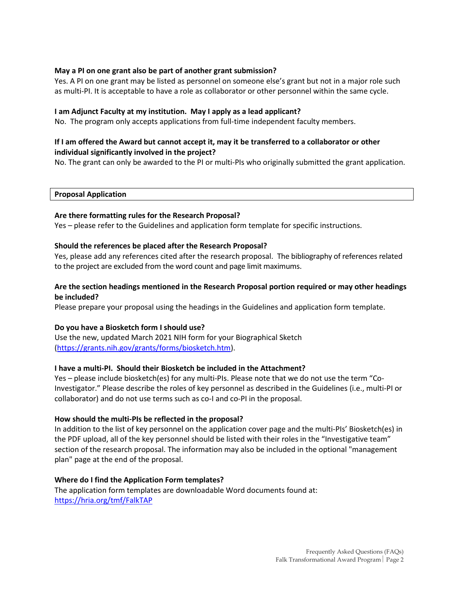## **May a PI on one grant also be part of another grant submission?**

Yes. A PI on one grant may be listed as personnel on someone else's grant but not in a major role such as multi-PI. It is acceptable to have a role as collaborator or other personnel within the same cycle.

### **I am Adjunct Faculty at my institution. May I apply as a lead applicant?**

No. The program only accepts applications from full-time independent faculty members.

# **If I am offered the Award but cannot accept it, may it be transferred to a collaborator or other individual significantly involved in the project?**

No. The grant can only be awarded to the PI or multi-PIs who originally submitted the grant application.

**Proposal Application**

#### **Are there formatting rules for the Research Proposal?**

Yes – please refer to the Guidelines and application form template for specific instructions.

#### **Should the references be placed after the Research Proposal?**

Yes, please add any references cited after the research proposal. The bibliography of references related to the project are excluded from the word count and page limit maximums.

## **Are the section headings mentioned in the Research Proposal portion required or may other headings be included?**

Please prepare your proposal using the headings in the Guidelines and application form template.

### **Do you have a Biosketch form I should use?**

Use the new, updated March 2021 NIH form for your Biographical Sketch [\(https://grants.nih.gov/grants/forms/biosketch.htm\)](https://grants.nih.gov/grants/forms/biosketch.htm).

### **I have a multi-PI. Should their Biosketch be included in the Attachment?**

Yes – please include biosketch(es) for any multi-PIs. Please note that we do not use the term "Co-Investigator." Please describe the roles of key personnel as described in the Guidelines (i.e., multi-PI or collaborator) and do not use terms such as co-I and co-PI in the proposal.

#### **How should the multi-PIs be reflected in the proposal?**

In addition to the list of key personnel on the application cover page and the multi-PIs' Biosketch(es) in the PDF upload, all of the key personnel should be listed with their roles in the "Investigative team" section of the research proposal. The information may also be included in the optional "management plan" page at the end of the proposal.

#### **Where do I find the Application Form templates?**

The application form templates are downloadable Word documents found at: <https://hria.org/tmf/FalkTAP>